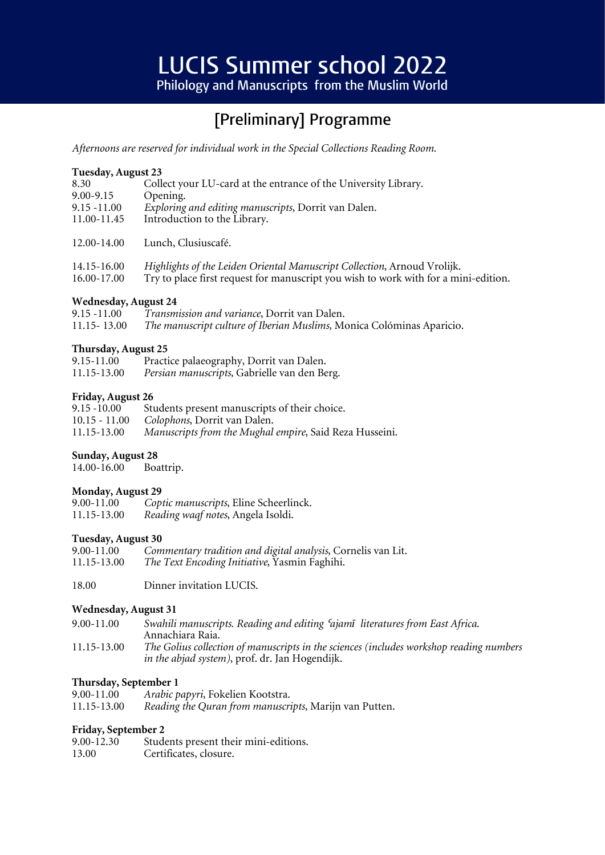# **LUCIS Summer school 2022**

Philology and Manuscripts from the Muslim World

## [Preliminary] Programme

*Afternoons are reserved for individual work in the Special Collections Reading Room.*

#### **Tuesday, August 23**

| 8.30           | Collect your LU-card at the entrance of the University Library.                     |
|----------------|-------------------------------------------------------------------------------------|
| $9.00 - 9.15$  | Opening.                                                                            |
| $9.15 - 11.00$ | Exploring and editing manuscripts, Dorrit van Dalen.                                |
| 11.00-11.45    | Introduction to the Library.                                                        |
|                |                                                                                     |
| 12.00-14.00    | Lunch, Clusiuscafé.                                                                 |
|                |                                                                                     |
| 14.15-16.00    | Highlights of the Leiden Oriental Manuscript Collection, Arnoud Vrolijk.            |
| 16.00-17.00    | Try to place first request for manuscript you wish to work with for a mini-edition. |

#### **Wednesday, August 24**

9.15 -11.00 *Transmission and variance*, Dorrit van Dalen. 11.15- 13.00 *The manuscript culture of Iberian Muslims,* Monica Colóminas Aparicio.

#### **Thursday, August 25**

| $9.15 - 11.00$ | Practice palaeography, Dorrit van Dalen.     |
|----------------|----------------------------------------------|
| 11.15-13.00    | Persian manuscripts, Gabrielle van den Berg. |

#### **Friday, August 26**

| $9.15 - 10.00$  | Students present manuscripts of their choice.           |
|-----------------|---------------------------------------------------------|
| $10.15 - 11.00$ | <i>Colophons</i> , Dorrit van Dalen.                    |
| 11.15-13.00     | Manuscripts from the Mughal empire, Said Reza Husseini. |

#### **Sunday, August 28**

14.00-16.00 Boattrip.

#### **Monday, August 29**

| 9.00-11.00  | Coptic manuscripts, Eline Scheerlinck. |
|-------------|----------------------------------------|
| 11.15-13.00 | Reading waqf notes, Angela Isoldi.     |

#### **Tuesday, August 30**

| 9.00-11.00  | Commentary tradition and digital analysis, Cornelis van Lit. |
|-------------|--------------------------------------------------------------|
| 11.15-13.00 | The Text Encoding Initiative, Yasmin Faghihi.                |

18.00 Dinner invitation LUCIS.

#### **Wednesday, August 31**

| $9.00 - 11.00$ | Swahili manuscripts. Reading and editing 'ajamī literatures from East Africa.           |
|----------------|-----------------------------------------------------------------------------------------|
|                | Annachiara Raia.                                                                        |
| 11.15-13.00    | The Golius collection of manuscripts in the sciences (includes workshop reading numbers |
|                | <i>in the abjad system</i> ), prof. dr. Jan Hogendijk.                                  |

#### **Thursday, September 1**

| $9.00 - 11.00$ | Arabic papyri, Fokelien Kootstra.                      |
|----------------|--------------------------------------------------------|
| 11.15-13.00    | Reading the Quran from manuscripts, Marijn van Putten. |

#### **Friday, September 2**

| $9.00 - 12.30$ | Students present their mini-editions. |
|----------------|---------------------------------------|
| 13.00          | Certificates, closure.                |